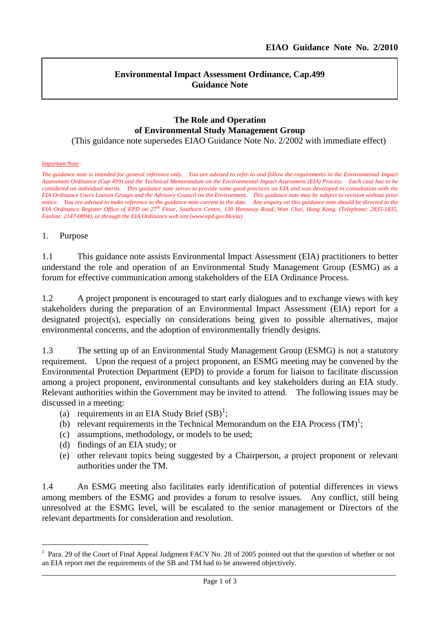l

#### **Environmental Impact Assessment Ordinance, Cap.499 Guidance Note**

# **The Role and Operation of Environmental Study Management Group**

(This guidance note supersedes EIAO Guidance Note No. 2/2002 with immediate effect)

#### *Important Note :*

*The guidance note is intended for general reference only. You are advised to refer to and follow the requirements in the Environmental Impact Assessment Ordinance (Cap 499) and the Technical Memorandum on the Environmental Impact Assessment (EIA) Process. Each case has to be considered on individual merits. This guidance note serves to provide some good practices on EIA and was developed in consultation with the EIA Ordinance Users Liaison Groups and the Advisory Council on the Environment. This guidance note may be subject to revision without prior notice. You are advised to make reference to the guidance note current to the date. Any enquiry on this guidance note should be directed to the EIA Ordinance Register Office of EPD on 27th Floor, Southorn Centre, 130 Hennessy Road, Wan Chai, Hong Kong. (Telephone: 2835-1835, Faxline: 2147-0894), or through the EIA Ordinance web site (www.epd.gov.hk/eia)*

#### 1. Purpose

 $\overline{a}$ 

1.1 This guidance note assists Environmental Impact Assessment (EIA) practitioners to better understand the role and operation of an Environmental Study Management Group (ESMG) as a forum for effective communication among stakeholders of the EIA Ordinance Process.

1.2 A project proponent is encouraged to start early dialogues and to exchange views with key stakeholders during the preparation of an Environmental Impact Assessment (EIA) report for a designated project(s), especially on considerations being given to possible alternatives, major environmental concerns, and the adoption of environmentally friendly designs.

1.3 The setting up of an Environmental Study Management Group (ESMG) is not a statutory requirement. Upon the request of a project proponent, an ESMG meeting may be convened by the Environmental Protection Department (EPD) to provide a forum for liaison to facilitate discussion among a project proponent, environmental consultants and key stakeholders during an EIA study. Relevant authorities within the Government may be invited to attend. The following issues may be discussed in a meeting:

- (a) requirements in an EIA Study Brief  $(SB)^1$  $(SB)^1$ ;
- (b) relevant requirements in the Technical Memorandum on the EIA Process  $(TM)^{1}$ ;
- (c) assumptions, methodology, or models to be used;
- (d) findings of an EIA study; or
- (e) other relevant topics being suggested by a Chairperson, a project proponent or relevant authorities under the TM.

1.4 An ESMG meeting also facilitates early identification of potential differences in views among members of the ESMG and provides a forum to resolve issues. Any conflict, still being unresolved at the ESMG level, will be escalated to the senior management or Directors of the relevant departments for consideration and resolution.

<span id="page-0-0"></span><sup>&</sup>lt;sup>1</sup> Para. 29 of the Court of Final Appeal Judgment FACV No. 28 of 2005 pointed out that the question of whether or not an EIA report met the requirements of the SB and TM had to be answered objectively.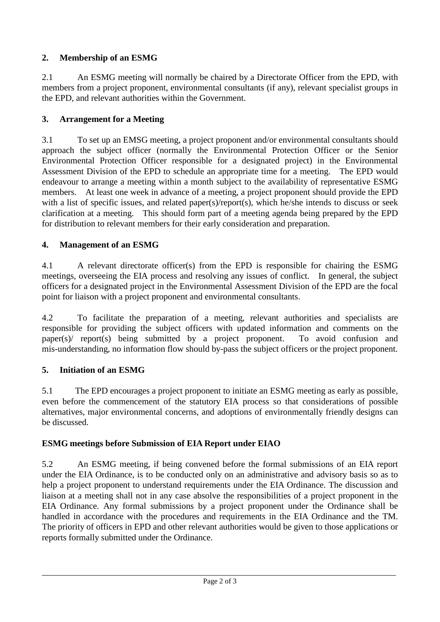# **2. Membership of an ESMG**

2.1 An ESMG meeting will normally be chaired by a Directorate Officer from the EPD, with members from a project proponent, environmental consultants (if any), relevant specialist groups in the EPD, and relevant authorities within the Government.

## **3. Arrangement for a Meeting**

3.1 To set up an EMSG meeting, a project proponent and/or environmental consultants should approach the subject officer (normally the Environmental Protection Officer or the Senior Environmental Protection Officer responsible for a designated project) in the Environmental Assessment Division of the EPD to schedule an appropriate time for a meeting. The EPD would endeavour to arrange a meeting within a month subject to the availability of representative ESMG members. At least one week in advance of a meeting, a project proponent should provide the EPD with a list of specific issues, and related paper(s)/report(s), which he/she intends to discuss or seek clarification at a meeting. This should form part of a meeting agenda being prepared by the EPD for distribution to relevant members for their early consideration and preparation.

# **4. Management of an ESMG**

4.1 A relevant directorate officer(s) from the EPD is responsible for chairing the ESMG meetings, overseeing the EIA process and resolving any issues of conflict. In general, the subject officers for a designated project in the Environmental Assessment Division of the EPD are the focal point for liaison with a project proponent and environmental consultants.

4.2 To facilitate the preparation of a meeting, relevant authorities and specialists are responsible for providing the subject officers with updated information and comments on the paper(s)/ report(s) being submitted by a project proponent. To avoid confusion and mis-understanding, no information flow should by-pass the subject officers or the project proponent.

## **5. Initiation of an ESMG**

5.1 The EPD encourages a project proponent to initiate an ESMG meeting as early as possible, even before the commencement of the statutory EIA process so that considerations of possible alternatives, major environmental concerns, and adoptions of environmentally friendly designs can be discussed.

## **ESMG meetings before Submission of EIA Report under EIAO**

5.2 An ESMG meeting, if being convened before the formal submissions of an EIA report under the EIA Ordinance, is to be conducted only on an administrative and advisory basis so as to help a project proponent to understand requirements under the EIA Ordinance. The discussion and liaison at a meeting shall not in any case absolve the responsibilities of a project proponent in the EIA Ordinance. Any formal submissions by a project proponent under the Ordinance shall be handled in accordance with the procedures and requirements in the EIA Ordinance and the TM. The priority of officers in EPD and other relevant authorities would be given to those applications or reports formally submitted under the Ordinance.

l